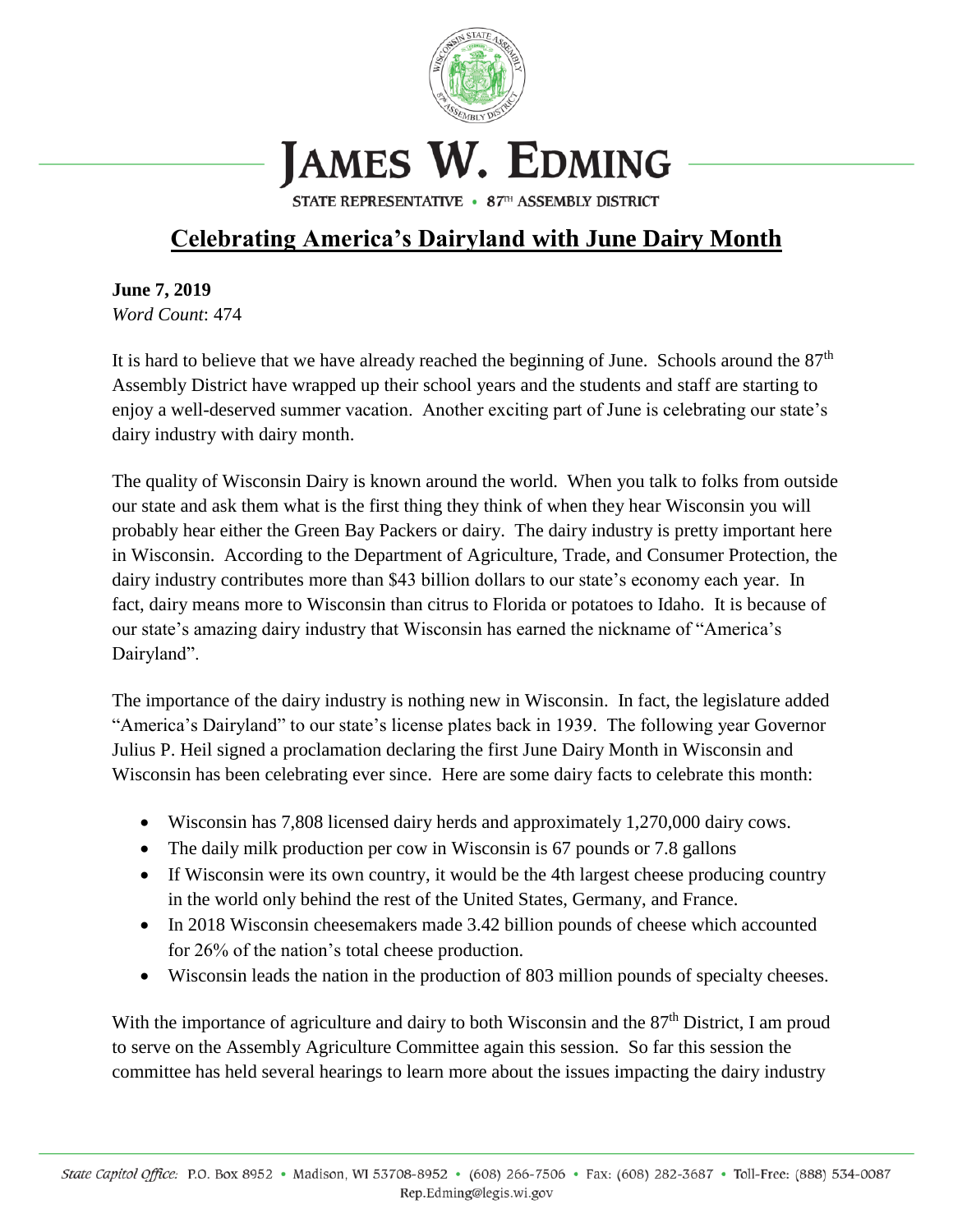

## JAMES W. EDMING

STATE REPRESENTATIVE • 87TH ASSEMBLY DISTRICT

## **Celebrating America's Dairyland with June Dairy Month**

**June 7, 2019** *Word Count*: 474

It is hard to believe that we have already reached the beginning of June. Schools around the  $87<sup>th</sup>$ Assembly District have wrapped up their school years and the students and staff are starting to enjoy a well-deserved summer vacation. Another exciting part of June is celebrating our state's dairy industry with dairy month.

The quality of Wisconsin Dairy is known around the world. When you talk to folks from outside our state and ask them what is the first thing they think of when they hear Wisconsin you will probably hear either the Green Bay Packers or dairy. The dairy industry is pretty important here in Wisconsin. According to the Department of Agriculture, Trade, and Consumer Protection, the dairy industry contributes more than \$43 billion dollars to our state's economy each year. In fact, dairy means more to Wisconsin than citrus to Florida or potatoes to Idaho. It is because of our state's amazing dairy industry that Wisconsin has earned the nickname of "America's Dairyland".

The importance of the dairy industry is nothing new in Wisconsin. In fact, the legislature added "America's Dairyland" to our state's license plates back in 1939. The following year Governor Julius P. Heil signed a proclamation declaring the first June Dairy Month in Wisconsin and Wisconsin has been celebrating ever since. Here are some dairy facts to celebrate this month:

- Wisconsin has 7,808 licensed dairy herds and approximately 1,270,000 dairy cows.
- The daily milk production per cow in Wisconsin is 67 pounds or 7.8 gallons
- If Wisconsin were its own country, it would be the 4th largest cheese producing country in the world only behind the rest of the United States, Germany, and France.
- In 2018 Wisconsin cheesemakers made 3.42 billion pounds of cheese which accounted for 26% of the nation's total cheese production.
- Wisconsin leads the nation in the production of 803 million pounds of specialty cheeses.

With the importance of agriculture and dairy to both Wisconsin and the 87<sup>th</sup> District, I am proud to serve on the Assembly Agriculture Committee again this session. So far this session the committee has held several hearings to learn more about the issues impacting the dairy industry